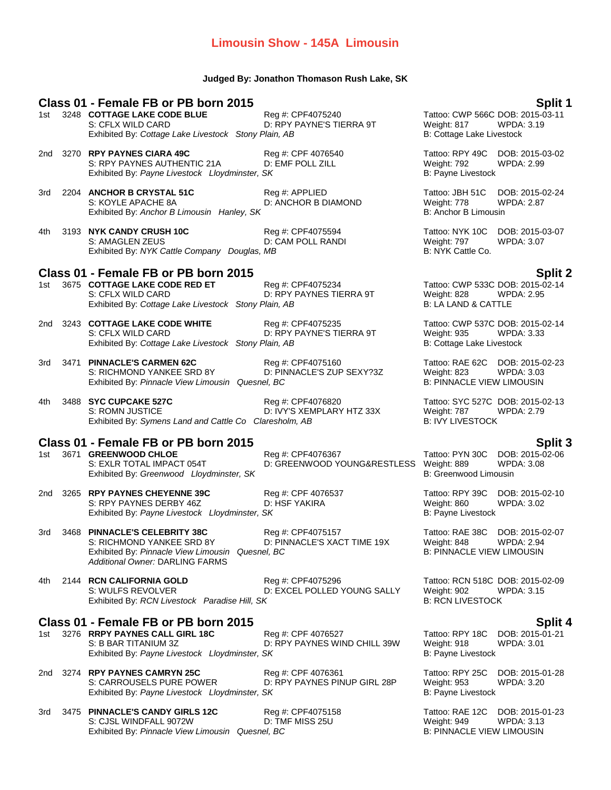### **Limousin Show - 145A Limousin**

#### **Judged By: Jonathon Thomason Rush Lake, SK**

### **Class 01 - Female FB or PB born 2015 Split 1** 1st 3248 **COTTAGE LAKE CODE BLUE** Reg #: CPF4075240 **Reg 10 Tattoo: CWP 566C DOB: 2015-03-11**<br>S: CFLX WILD CARD D: RPY PAYNE'S TIERRA 9T Weight: 817 WPDA: 3.19 S: CFLX WILD CARD D: RPY PAYNE'S TIERRA 9T Weight: 817 Exhibited By: Cottage Lake Livestock Stony Plain, AB B: Cottage Lake Livestock Stone Dave Rivestock Stone Dave 2nd 3270 **RPY PAYNES CIARA 49C** Reg #: CPF 4076540 Tattoo: RPY 49C DOB: 2015-03-02 S: RPY PAYNES AUTHENTIC 21A D: EMF POLL ZILL Weight: 792 WPDA: 2.99 Exhibited By: Payne Livestock Lloydminster, SK B: Payne Livestock 3rd 2204 **ANCHOR B CRYSTAL 51C** Reg #: APPLIED Tattoo: JBH 51C DOB: 2015-02-24 S: KOYLE APACHE 8A D: ANCHOR B DIAMOND Weight: 778 WPDA: 2.87 Exhibited By: *Anchor B Limousin Hanley, SK* B: Anchor B Limousin B: Anchor B Limousin 4th 3193 **NYK CANDY CRUSH 10C** Reg #: CPF4075594 Tattoo: NYK 10C DOB: 2015-03-07 S: AMAGLEN ZEUS **D: CAM POLL RANDI** Weight: 797 WPDA: 3.07<br>
Exhibited By: NYK Cattle Company Douglas. MB B: NYK Cattle Co. Exhibited By: NYK Cattle Company Douglas, MB **Class 01 - Female FB or PB born 2015 Split 2** 1st 3675 **COTTAGE LAKE CODE RED ET** S: CFLX WILD CARD **D: RPY PAYNES TIERRA 9T** Weight: 828 WPDA: 2.95<br>Exhibited By: Cottage Lake Livestock Stony Plain. AB B: LA LAND & CATTLE Exhibited By: Cottage Lake Livestock Stony Plain, AB 2nd 3243 **COTTAGE LAKE CODE WHITE** Reg #: CPF4075235 Tattoo: CWP 537C DOB: 2015-02-14 S: CFLX WILD CARD D: RPY PAYNE'S TIERRA 9T Weight: 935 WPDA: 3.33 Exhibited By: Cottage Lake Livestock Stony Plain, AB B: Cottage Lake Livestock 3rd 3471 **PINNACLE'S CARMEN 62C** Reg #: CPF4075160 Tattoo: RAE 62C DOB: 2015-02-23 S: RICHMOND YANKEE SRD 8Y D: PINNACLE'S ZUP SEXY?3Z Weight: 823 WPDA: 3.03 Exhibited By: Pinnacle View Limousin Quesnel, BC **B: PINNACLE VIEW LIMOUSIN** 4th 3488 **SYC CUPCAKE 527C** Reg #: CPF4076820 Tattoo: SYC 527C DOB: 2015-02-13 D: IVY'S XEMPLARY HTZ 33X Exhibited By: *Symens Land and Cattle Co Claresholm, AB* B: IVY LIVESTOCK **Class 01 - Female FB or PB born 2015 Split 3** 1st 3671 **GREENWOOD CHLOE** Reg #: CPF4076367 Tattoo: PYN 3671 **GREENWOOD CHLOE** Reg #: CPF4076367 Tattoo: PYN 309 S: EXLR TOTAL IMPACT 054T D: GREENWOOD YOUNG&RESTLESS Weight: 889 WPDA: 3.08 Exhibited By: Greenwood Lloydminster, SK B: Greenwood Limousin 2nd 3265 **RPY PAYNES CHEYENNE 39C** Reg #: CPF 4076537 Tattoo: RPY 39C DOB: 2015-02-10 S: RPY PAYNES DERBY 46Z D: HSF YAKIRA Weight: 860 WPDA: 3.02 Exhibited By: Payne Livestock Lloydminster, SK B: Payne Livestock 3rd 3468 **PINNACLE'S CELEBRITY 38C** Reg #: CPF4075157 Tattoo: RAE 38C DOB: 2015-02-07 S: RICHMOND YANKEE SRD 8Y D: PINNACLE'S XACT TIME 19X Weight: 848 WPDA: 2.94 Exhibited By: Pinnacle View Limousin Quesnel, BC **B: PINNACLE VIEW LIMOUSIN** *Additional Owner:* DARLING FARMS 4th 2144 **RCN CALIFORNIA GOLD** Reg #: CPF4075296 Tattoo: RCN 518C DOB: 2015-02-09 S: WULFS REVOLVER **DIEXCEL POLLED YOUNG SALLY** Weight: 902 WPDA: 3.15 Exhibited By: *RCN Livestock Paradise Hill, SK* B: **RCN LIVESTOCK** B: RCN LIVESTOCK **Class 01 - Female FB or PB born 2015 Split 4** 1st 3276 **RRPY PAYNES CALL GIRL 18C** Reg #: CPF 4076527 Tattoo: RPY 18C DOB: 2015-01-21 D: RPY PAYNES WIND CHILL 39W Weight: 918 Exhibited By: Payne Livestock Lloydminster, SK B: Payne Livestock B: Payne Livestock 2nd 3274 **RPY PAYNES CAMRYN 25C** Reg #: CPF 4076361 Tattoo: RPY 25C DOB: 2015-01-28 D: RPY PAYNES PINUP GIRL 28P Weight: 953 WPDA: 3.20 Exhibited By: Payne Livestock Lloydminster, SK B: Payne Livestock Library and B: Payne Livestock

3rd 3475 **PINNACLE'S CANDY GIRLS 12C** Reg #: CPF4075158 Tattoo: RAE 12C DOB: 2015-01-23 S: CJSL WINDFALL 9072W D: TMF MISS 25U Weight: 949 WPDA: 3.13 Exhibited By: Pinnacle View Limousin Quesnel, BC **B: PINNACLE VIEW LIMOUSIN**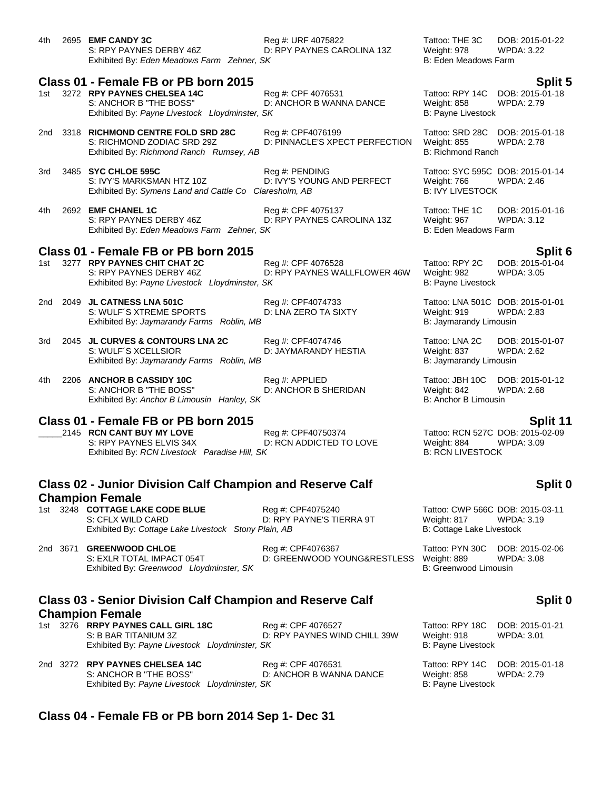| 4th | 2695 EMF CANDY 3C<br>S: RPY PAYNES DERBY 46Z<br>Exhibited By: Eden Meadows Farm Zehner, SK                                                      | Reg #: URF 4075822<br>D: RPY PAYNES CAROLINA 13Z    | Tattoo: THE 3C<br>Weight: 978<br>B: Eden Meadows Farm      | DOB: 2015-01-22<br><b>WPDA: 3.22</b>                              |
|-----|-------------------------------------------------------------------------------------------------------------------------------------------------|-----------------------------------------------------|------------------------------------------------------------|-------------------------------------------------------------------|
| 1st | Class 01 - Female FB or PB born 2015<br>3272 RPY PAYNES CHELSEA 14C<br>S: ANCHOR B "THE BOSS"<br>Exhibited By: Payne Livestock Lloydminster, SK | Reg #: CPF 4076531<br>D: ANCHOR B WANNA DANCE       | Tattoo: RPY 14C<br>Weight: 858<br>B: Payne Livestock       | Split 5<br>DOB: 2015-01-18<br><b>WPDA: 2.79</b>                   |
| 2nd | 3318 RICHMOND CENTRE FOLD SRD 28C<br>S: RICHMOND ZODIAC SRD 29Z<br>Exhibited By: Richmond Ranch Rumsey, AB                                      | Reg #: CPF4076199<br>D: PINNACLE'S XPECT PERFECTION | Tattoo: SRD 28C<br>Weight: 855<br><b>B: Richmond Ranch</b> | DOB: 2015-01-18<br><b>WPDA: 2.78</b>                              |
| 3rd | 3485 SYC CHLOE 595C<br>S: IVY'S MARKSMAN HTZ 10Z<br>Exhibited By: Symens Land and Cattle Co Claresholm, AB                                      | Reg #: PENDING<br>D: IVY'S YOUNG AND PERFECT        | Weight: 766<br><b>B: IVY LIVESTOCK</b>                     | Tattoo: SYC 595C DOB: 2015-01-14<br><b>WPDA: 2.46</b>             |
| 4th | 2692 EMF CHANEL 1C<br>S: RPY PAYNES DERBY 46Z<br>Exhibited By: Eden Meadows Farm Zehner, SK                                                     | Reg #: CPF 4075137<br>D: RPY PAYNES CAROLINA 13Z    | Tattoo: THE 1C<br>Weight: 967<br>B: Eden Meadows Farm      | DOB: 2015-01-16<br><b>WPDA: 3.12</b>                              |
|     | Class 01 - Female FB or PB born 2015                                                                                                            |                                                     |                                                            | Split 6                                                           |
| 1st | 3277 RPY PAYNES CHIT CHAT 2C<br>S: RPY PAYNES DERBY 46Z<br>Exhibited By: Payne Livestock Lloydminster, SK                                       | Reg #: CPF 4076528<br>D: RPY PAYNES WALLFLOWER 46W  | Tattoo: RPY 2C<br>Weight: 982<br>B: Payne Livestock        | DOB: 2015-01-04<br><b>WPDA: 3.05</b>                              |
| 2nd | 2049 JL CATNESS LNA 501C<br>S: WULF'S XTREME SPORTS<br>Exhibited By: Jaymarandy Farms Roblin, MB                                                | Reg #: CPF4074733<br>D: LNA ZERO TA SIXTY           | Weight: 919<br>B: Jaymarandy Limousin                      | Tattoo: LNA 501C DOB: 2015-01-01<br><b>WPDA: 2.83</b>             |
| 3rd | 2045 JL CURVES & CONTOURS LNA 2C<br>S: WULF'S XCELLSIOR<br>Exhibited By: Jaymarandy Farms Roblin, MB                                            | Reg #: CPF4074746<br>D: JAYMARANDY HESTIA           | Tattoo: LNA 2C<br>Weight: 837<br>B: Jaymarandy Limousin    | DOB: 2015-01-07<br><b>WPDA: 2.62</b>                              |
| 4th | 2206 ANCHOR B CASSIDY 10C<br>S: ANCHOR B "THE BOSS"<br>Exhibited By: Anchor B Limousin Hanley, SK                                               | Reg #: APPLIED<br>D: ANCHOR B SHERIDAN              | Tattoo: JBH 10C<br>Weight: 842<br>B: Anchor B Limousin     | DOB: 2015-01-12<br><b>WPDA: 2.68</b>                              |
|     | Class 01 - Female FB or PB born 2015<br>2145 RCN CANT BUY MY LOVE<br>S: RPY PAYNES ELVIS 34X<br>Exhibited By: RCN Livestock Paradise Hill, SK   | Reg #: CPF40750374<br>D: RCN ADDICTED TO LOVE       | Weight: 884<br><b>B: RCN LIVESTOCK</b>                     | Split 11<br>Tattoo: RCN 527C DOB: 2015-02-09<br><b>WPDA: 3.09</b> |

### **Class 02 - Junior Division Calf Champion and Reserve Calf Champion Female**

1st 3248 **COTTAGE LAKE CODE BLUE** Reg #: CPF4075240 **Reg 11 COLOGE 1998** Tattoo: CWP 566C DOB: 2015-03-11<br>S: CFLX WILD CARD D: RPY PAYNE'S TIERRA 9T Weight: 817 WPDA: 3.19 D: RPY PAYNE'S TIERRA 9T Weight: 817 WPDA: 3.19 Exhibited By: *Cottage Lake Livestock Stony Plain, AB* B: Cottage Lake Livestock

# 2nd 3671 **GREENWOOD CHLOE** Reg #: CPF4076367 Tattoo: PYN 30C DOB: 2015-02-06<br>S: EXLR TOTAL IMPACT 054T D: GREENWOOD YOUNG&RESTLESS Weight: 889 WPDA: 3.08

D: GREENWOOD YOUNG&RESTLESS Weight: 889 WPDA: 3.08 Exhibited By: Greenwood Lloydminster, SK B: Greenwood Limousin

# **Class 03 - Senior Division Calf Champion and Reserve Calf Champion Female**

1st 3276 **RRPY PAYNES CALL GIRL 18C** Reg #: CPF 4076527 Tattoo: RPY 18C DOB: 2015-01-21 S: B BAR TITANIUM 3Z D: RPY PAYNES WIND CHILL 39W Weight: 918 WPDA: 3.01 Exhibited By: Payne Livestock Lloydminster, SK B: Payne Livestock

2nd 3272 **RPY PAYNES CHELSEA 14C** Reg #: CPF 4076531 Tattoo: RPY 14C DOB: 2015-01-18 S: ANCHOR B "THE BOSS" D: ANCHOR B WANNA DANCE Weight: 858 WPDA: 2.79 Exhibited By: Payne Livestock Lloydminster, SK B: Payne Livestock B: Payne Livestock

### **Class 04 - Female FB or PB born 2014 Sep 1- Dec 31**

### **Split 0**

**Split 0**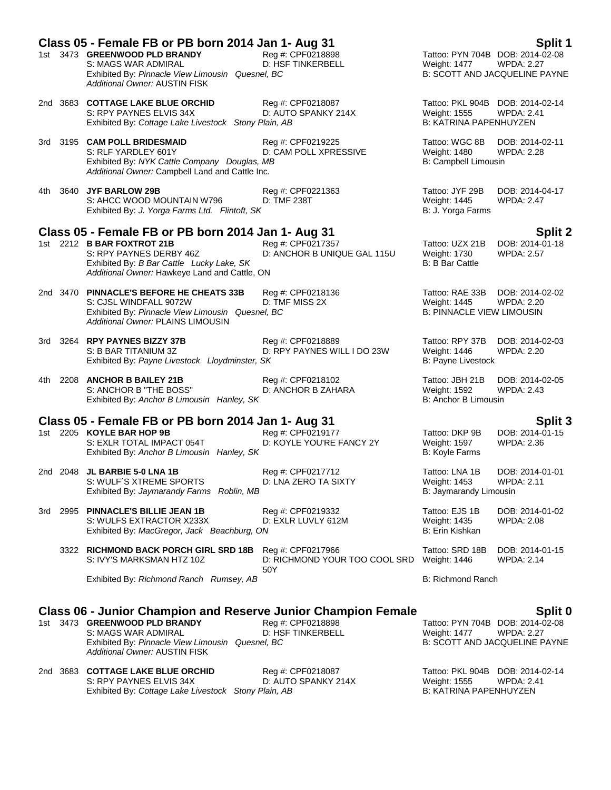|     | Class 05 - Female FB or PB born 2014 Jan 1- Aug 31                                                                                                          |                                                           |                                                                     | Split 1                                                                                       |
|-----|-------------------------------------------------------------------------------------------------------------------------------------------------------------|-----------------------------------------------------------|---------------------------------------------------------------------|-----------------------------------------------------------------------------------------------|
|     | 1st 3473 GREENWOOD PLD BRANDY<br>S: MAGS WAR ADMIRAL<br>Exhibited By: Pinnacle View Limousin Quesnel, BC<br>Additional Owner: AUSTIN FISK                   | Reg #: CPF0218898<br>D: HSF TINKERBELL                    | Weight: 1477                                                        | Tattoo: PYN 704B DOB: 2014-02-08<br><b>WPDA: 2.27</b><br><b>B: SCOTT AND JACQUELINE PAYNE</b> |
|     | 2nd 3683 COTTAGE LAKE BLUE ORCHID<br>S: RPY PAYNES ELVIS 34X<br>Exhibited By: Cottage Lake Livestock Stony Plain, AB                                        | Reg #: CPF0218087<br>D: AUTO SPANKY 214X                  | Weight: 1555<br><b>B: KATRINA PAPENHUYZEN</b>                       | Tattoo: PKL 904B DOB: 2014-02-14<br><b>WPDA: 2.41</b>                                         |
|     | 3rd 3195 CAM POLL BRIDESMAID<br>S: RLF YARDLEY 601Y<br>Exhibited By: NYK Cattle Company Douglas, MB<br>Additional Owner: Campbell Land and Cattle Inc.      | Reg #: CPF0219225<br>D: CAM POLL XPRESSIVE                | Tattoo: WGC 8B<br><b>Weight: 1480</b><br>B: Campbell Limousin       | DOB: 2014-02-11<br><b>WPDA: 2.28</b>                                                          |
|     | 4th 3640 JYF BARLOW 29B<br>S: AHCC WOOD MOUNTAIN W796<br>Exhibited By: J. Yorga Farms Ltd. Flintoft, SK                                                     | Reg #: CPF0221363<br>D: TMF 238T                          | Tattoo: JYF 29B<br>Weight: 1445<br>B: J. Yorga Farms                | DOB: 2014-04-17<br><b>WPDA: 2.47</b>                                                          |
|     | Class 05 - Female FB or PB born 2014 Jan 1- Aug 31                                                                                                          |                                                           |                                                                     | <b>Split 2</b>                                                                                |
|     | 1st 2212 <b>B BAR FOXTROT 21B</b><br>S: RPY PAYNES DERBY 46Z<br>Exhibited By: B Bar Cattle Lucky Lake, SK<br>Additional Owner: Hawkeye Land and Cattle, ON  | Reg #: CPF0217357<br>D: ANCHOR B UNIQUE GAL 115U          | Tattoo: UZX 21B<br>Weight: 1730<br><b>B: B Bar Cattle</b>           | DOB: 2014-01-18<br><b>WPDA: 2.57</b>                                                          |
|     | 2nd 3470 PINNACLE'S BEFORE HE CHEATS 33B<br>S: CJSL WINDFALL 9072W<br>Exhibited By: Pinnacle View Limousin Quesnel, BC<br>Additional Owner: PLAINS LIMOUSIN | Reg #: CPF0218136<br>D: TMF MISS 2X                       | Tattoo: RAE 33B<br>Weight: 1445<br><b>B: PINNACLE VIEW LIMOUSIN</b> | DOB: 2014-02-02<br><b>WPDA: 2.20</b>                                                          |
|     | 3rd 3264 RPY PAYNES BIZZY 37B<br>S: B BAR TITANIUM 3Z<br>Exhibited By: Payne Livestock Lloydminster, SK                                                     | Reg #: CPF0218889<br>D: RPY PAYNES WILL I DO 23W          | Tattoo: RPY 37B<br>Weight: 1446<br>B: Payne Livestock               | DOB: 2014-02-03<br><b>WPDA: 2.20</b>                                                          |
|     | 4th 2208 ANCHOR B BAILEY 21B<br>S: ANCHOR B "THE BOSS"<br>Exhibited By: Anchor B Limousin Hanley, SK                                                        | Reg #: CPF0218102<br>D: ANCHOR B ZAHARA                   | Tattoo: JBH 21B<br>Weight: 1592<br>B: Anchor B Limousin             | DOB: 2014-02-05<br><b>WPDA: 2.43</b>                                                          |
|     |                                                                                                                                                             |                                                           |                                                                     |                                                                                               |
|     | Class 05 - Female FB or PB born 2014 Jan 1- Aug 31<br>1st 2205 KOYLE BAR HOP 9B<br>S: EXLR TOTAL IMPACT 054T<br>Exhibited By: Anchor B Limousin Hanley, SK  | Reg #: CPF0219177<br>D: KOYLE YOU'RE FANCY 2Y             | Tattoo: DKP 9B<br>Weight: 1597<br>B: Koyle Farms                    | Split 3<br>DOB: 2014-01-15<br>WPDA: 2.36                                                      |
|     | 2nd 2048 JL BARBIE 5-0 LNA 1B<br>S: WULF'S XTREME SPORTS<br>Exhibited By: Jaymarandy Farms Roblin, MB                                                       | Reg #: CPF0217712<br>D: LNA ZERO TA SIXTY                 | Tattoo: LNA 1B<br>Weight: 1453<br>B: Jaymarandy Limousin            | DOB: 2014-01-01<br>WPDA: 2.11                                                                 |
| 3rd | 2995 PINNACLE'S BILLIE JEAN 1B<br>S: WULFS EXTRACTOR X233X<br>Exhibited By: MacGregor, Jack Beachburg, ON                                                   | Reg #: CPF0219332<br>D: EXLR LUVLY 612M                   | Tattoo: EJS 1B<br>Weight: 1435<br>B: Erin Kishkan                   | DOB: 2014-01-02<br><b>WPDA: 2.08</b>                                                          |
|     | 3322 RICHMOND BACK PORCH GIRL SRD 18B<br>S: IVY'S MARKSMAN HTZ 10Z                                                                                          | Reg #: CPF0217966<br>D: RICHMOND YOUR TOO COOL SRD<br>50Y | Tattoo: SRD 18B<br>Weight: 1446                                     | DOB: 2014-01-15<br><b>WPDA: 2.14</b>                                                          |
|     | Exhibited By: Richmond Ranch Rumsey, AB                                                                                                                     |                                                           | <b>B: Richmond Ranch</b>                                            |                                                                                               |

# **Class 06 - Junior Champion and Reserve Junior Champion Female**<br>1st 3473 GREENWOOD PLD BRANDY Reg #: CPF0218898 Tattoo: PYN 704B DOB: 2014-02-08

1st 3473 **GREENWOOD PLD BRANDY** Reg #: CPF0218898<br>S: MAGS WAR ADMIRAL D: HSF TINKERBELL Exhibited By: Pinnacle View Limousin Quesnel, BC *Additional Owner:* AUSTIN FISK

|  | 2nd 3683 COTTAGE LAKE BLUE ORCHID                    | Reg #: CPF0218087   | Tattoo: PKL 904B DOB: 2014-02-14 |            |
|--|------------------------------------------------------|---------------------|----------------------------------|------------|
|  | S: RPY PAYNES ELVIS 34X                              | D: AUTO SPANKY 214X | Weight: 1555                     | WPDA: 2.41 |
|  | Exhibited By: Cottage Lake Livestock Stony Plain, AB |                     | B: KATRINA PAPENHUYZEN           |            |

Weight: 1477 WPDA: 2.27<br>B: SCOTT AND JACQUELINE PAYNE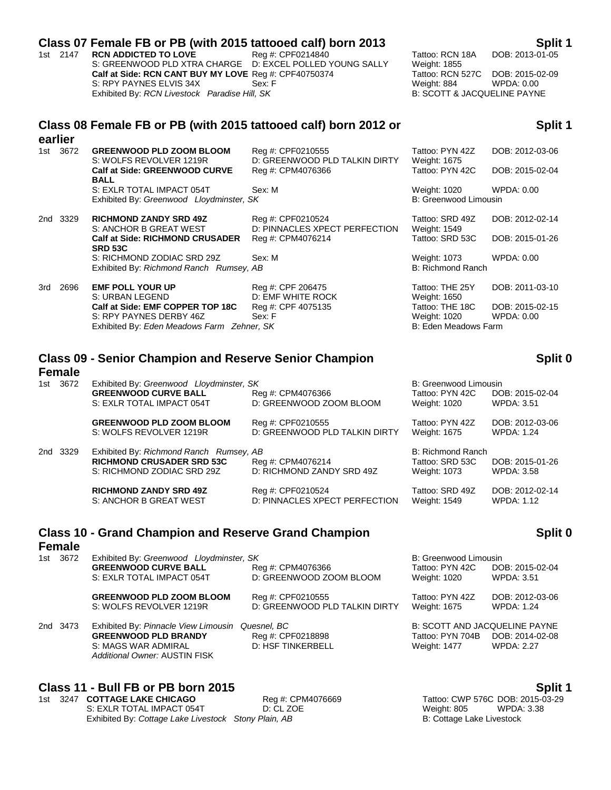#### **Class 07 Female FB or PB (with 2015 tattooed calf) born 2013 Split 1**

1st 2147 **RCN ADDICTED TO LOVE** Reg #: CPF0214840 Tattoo: RCN 18A DOB: 2013-01-05 S: GREENWOOD PLD XTRA CHARGE D: EXCEL POLLED YOUNG SALLY Weight: 1855 **Calf at Side: RCN CANT BUY MY LOVE** Reg #: CPF40750374 Tattoo: RCN 527C DOB: 2015-02-09 S: RPY PAYNES ELVIS 34X Sex: F Weight: 884 WPDA: 0.00 Exhibited By: *RCN Livestock Paradise Hill, SK* B: SCOTT & JACQUELINE PAYNE

#### **Class 08 Female FB or PB (with 2015 tattooed calf) born 2012 or earlier**

#### 1st 3672 **GREENWOOD PLD ZOOM BLOOM** Reg #: CPF0210555 Tattoo: PYN 42Z DOB: 2012-03-06 S: WOLFS REVOLVER 1219R D: GREENWOOD PLD TALKIN DIRTY Weight: 1675 **Calf at Side: GREENWOOD CURVE BALL** Reg #: CPM4076366 Tattoo: PYN 42C DOB: 2015-02-04 S: EXLR TOTAL IMPACT 054T Sex: M Sex: M Weight: 1020 WPDA: 0.00 Exhibited By: Greenwood Lloydminster, SK B: Greenwood Limousin 2nd 3329 **RICHMOND ZANDY SRD 49Z** Reg #: CPF0210524 Tattoo: SRD 49Z DOB: 2012-02-14 S: ANCHOR B GREAT WEST D: PINNACLES XPECT PERFECTION Weight: 1549 **Calf at Side: RICHMOND CRUSADER SRD 53C** Reg #: CPM4076214 Tattoo: SRD 53C DOB: 2015-01-26 S: RICHMOND ZODIAC SRD 29Z Sex: M Weight: 1073 WPDA: 0.00 Exhibited By: *Richmond Ranch Rumsey, AB* B: Richmond Ranch 3rd 2696 **EMF POLL YOUR UP** Reg #: CPF 206475 Tattoo: THE 25Y DOB: 2011-03-10 S: URBAN LEGEND D: EMF WHITE ROCK Weight: 1650<br>
Calf at Side: EMF COPPER TOP 18C Reg #: CPF 4075135 Tattoo: THE 1 **Calf at Side: EMF COPPER TOP 18C** Reg #: CPF 4075135 Tattoo: THE 18C DOB: 2015-02-15 S: RPY PAYNES DERBY 46Z Sex: F Weight: 1020 WPDA: 0.00

Exhibited By: *Eden Meadows Farm Zehner, SK* B: Eden Meadows Farm

# **Class 09 - Senior Champion and Reserve Senior Champion**

#### **Female**

| B: Greenwood Limousin<br>Tattoo: PYN 42C<br>Weight: 1020 | DOB: 2015-02-04<br><b>WPDA: 3.51</b> |
|----------------------------------------------------------|--------------------------------------|
| Tattoo: PYN 42Z<br>Weight: 1675                          | DOB: 2012-03-06<br><b>WPDA: 1.24</b> |
| B: Richmond Ranch<br>Tattoo: SRD 53C<br>Weight: 1073     | DOB: 2015-01-26<br><b>WPDA: 3.58</b> |
| Tattoo: SRD 49Z<br>Weight: 1549                          | DOB: 2012-02-14<br><b>WPDA: 1.12</b> |
|                                                          |                                      |

#### **Class 10 - Grand Champion and Reserve Grand Champion**

### **Female**

| 1st 3672 | Exhibited By: Greenwood Lloydminster, SK             |                               | B: Greenwood Limousin                |                   |
|----------|------------------------------------------------------|-------------------------------|--------------------------------------|-------------------|
|          | <b>GREENWOOD CURVE BALL</b>                          | Reg #: CPM4076366             | Tattoo: PYN 42C                      | DOB: 2015-02-04   |
|          | S: EXLR TOTAL IMPACT 054T                            | D: GREENWOOD ZOOM BLOOM       | Weight: 1020                         | WPDA: 3.51        |
|          | <b>GREENWOOD PLD ZOOM BLOOM</b>                      | Reg #: CPF0210555             | Tattoo: PYN 42Z                      | DOB: 2012-03-06   |
|          | S: WOLFS REVOLVER 1219R                              | D: GREENWOOD PLD TALKIN DIRTY | Weight: 1675                         | <b>WPDA: 1.24</b> |
| 2nd 3473 | Exhibited By: Pinnacle View Limousin                 | Quesnel, BC                   | <b>B: SCOTT AND JACQUELINE PAYNE</b> |                   |
|          | <b>GREENWOOD PLD BRANDY</b>                          | Reg #: CPF0218898             | Tattoo: PYN 704B                     | DOB: 2014-02-08   |
|          | S: MAGS WAR ADMIRAL<br>Additional Owner: AUSTIN FISK | <b>D: HSF TINKERBELL</b>      | Weight: 1477                         | <b>WPDA: 2.27</b> |

#### **Class 11 - Bull FB or PB born 2015 Split 1**

1st 3247 **COTTAGE LAKE CHICAGO** Reg #: CPM4076669 Tattoo: CWP 576C DOB: 2015-03-29<br>S: EXLR TOTAL IMPACT 054T D: CL ZOE DE TORE DESTINE REGINT: 805 WPDA: 3.38 S: EXLR TOTAL IMPACT 054T D: CL ZOE Weight: 805 WPDA: 3.38 Exhibited By: *Cottage Lake Livestock Stony Plain, AB* B: Cottage Lake Livestock

**Split 0**

### **Split 0**

**Split 1**

| and Reserve Senior Ghar |                   |  |  |  |
|-------------------------|-------------------|--|--|--|
| ovdminster, SK          |                   |  |  |  |
|                         | Reg #: CPM4076366 |  |  |  |
| 1Т                      | D: GREENWOOD ZOOI |  |  |  |
| <b>BLOOM</b>            | Reg #: CPF0210555 |  |  |  |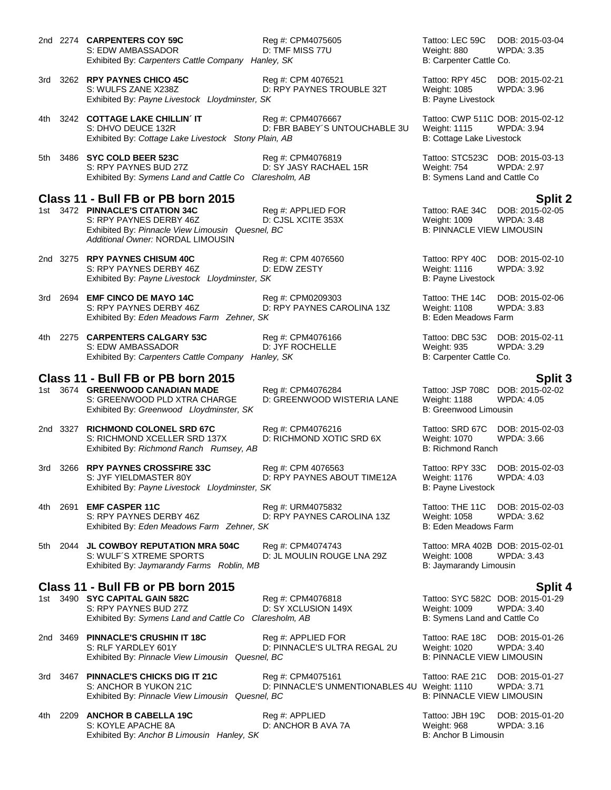2nd 2274 **CARPENTERS COY 59C** Reg #: CPM4075605 Tattoo: LEC 59C DOB: 2015-03-04 S: EDW AMBASSADOR D: TMF MISS 77U Weight: 880 Exhibited By: *Carpenters Cattle Company Hanley, SK* B: Carpenter Cattle Co. 3rd 3262 **RPY PAYNES CHICO 45C** Reg #: CPM 4076521 Tattoo: RPY 45C DOB: 2015-02-21 S: WULFS ZANE X238Z D: RPY PAYNES TROUBLE 32T Weight: 1085 WPDA: 3.96 Exhibited By: Payne Livestock Lloydminster, SK B: Payne Livestock B: Payne Livestock 4th 3242 **COTTAGE LAKE CHILLIN´ IT** Req #: CPM4076667 Tattoo: CWP 511C DOB: 2015-02-12 S: DHVO DEUCE 132R D: FBR BABEY'S UNTOUCHABLE 3U Weight: 1115 WPDA: 3.94 Exhibited By: Cottage Lake Livestock Stony Plain, AB B: Cottage Lake Livestock Stone Lake Livestock B: Cottage Lake Livestock 5th 3486 **SYC COLD BEER 523C** Reg #: CPM4076819 Tattoo: STC523C DOB: 2015-03-13 S: RPY PAYNES BUD 27Z D: SY JASY RACHAEL 15R Weight: 754 WPDA: 2.97 Exhibited By: Symens Land and Cattle Co Claresholm, AB B: Symens Land and Cattle Co **Class 11 - Bull FB or PB born 2015 Split 2** 1st 3472 **PINNACLE'S CITATION 34C** Reg #: APPLIED FOR Tattoo: RAE 34C DOB: 2015-02-05<br>S: RPY PAYNES DERBY 46Z D: CJSL XCITE 353X Weight: 1009 WPDA: 3.48 S: RPY PAYNES DERBY 46Z D: CJSL XCITE 353X Weight: 1009 WPDA: 3.48 Exhibited By: Pinnacle View Limousin Quesnel, BC *Additional Owner:* NORDAL LIMOUSIN 2nd 3275 **RPY PAYNES CHISUM 40C** Reg #: CPM 4076560 Tattoo: RPY 40C DOB: 2015-02-10 S: RPY PAYNES DERBY 46Z **DEXALL BESTY** D: EDW ZESTY Weight: 1116 WPDA: 3.92 Exhibited By: Payne Livestock Lloydminster, SK B: Payne Livestock B: Payne Livestock 3rd 2694 **EMF CINCO DE MAYO 14C** Reg #: CPM0209303 Tattoo: THE 14C DOB: 2015-02-06 S: RPY PAYNES DERBY 46Z D: RPY PAYNES CAROLINA 13Z Weight: 1108 WPDA: 3.83 Exhibited By: *Eden Meadows Farm Zehner, SK* B: Eden Meadows Farm B: Eden Meadows Farm 4th 2275 **CARPENTERS CALGARY 53C** Reg #: CPM4076166 Tattoo: DBC 53C DOB: 2015-02-11 S: EDW AMBASSADOR D: JYF ROCHELLE Weight: 935 WPDA: 3.29 Exhibited By: *Carpenters Cattle Company Hanley, SK* B: Carpenter Cattle Co. **Class 11 - Bull FB or PB born 2015 Split 3** 1st 3674 **GREENWOOD CANADIAN MADE** S: GREENWOOD PLD XTRA CHARGE D: GREENWOOD WISTERIA LANE Weight: 1188 WPDA: 4.05<br>Exhibited By: Greenwood Llovdminster. SK B: Greenwood Limousin Exhibited By: Greenwood Lloydminster, SK 2nd 3327 **RICHMOND COLONEL SRD 67C** Reg #: CPM4076216 Tattoo: SRD 67C DOB: 2015-02-03<br>S: RICHMOND XCELLER SRD 137X D: RICHMOND XOTIC SRD 6X Weight: 1070 WPDA: 3.66 S: RICHMOND XCELLER SRD 137X D: RICHMOND XOTIC SRD 6X Weight: 1070 Exhibited By: *Richmond Ranch Rumsey, AB* B: Richmond Ranch B: Richmond Ranch 3rd 3266 **RPY PAYNES CROSSFIRE 33C** Reg #: CPM 4076563 Tattoo: RPY 33C DOB: 2015-02-03 S: JYF YIELDMASTER 80Y D: RPY PAYNES ABOUT TIME12A Weight: 1176 WPDA: 4.03 Exhibited By: Payne Livestock Lloydminster, SK B: Payne Livestock **B: Payne Livestock** 4th 2691 **EMF CASPER 11C** Reg #: URM4075832 Tattoo: THE 11C DOB: 2015-02-03 S: RPY PAYNES DERBY 46Z D: RPY PAYNES CAROLINA 13Z Weight: 1058 WPDA: 3.62 Exhibited By: *Eden Meadows Farm Zehner, SK* B: Eden Meadows Farm B: Eden Meadows Farm 5th 2044 **JL COWBOY REPUTATION MRA 504C** Reg #: CPM4074743 Tattoo: MRA 402B DOB: 2015-02-01 S: WULF´S XTREME SPORTS **DEXAMENT DE SEXT ALCO VEIGHT: 1008** WPDA: 3.43 Exhibited By: *Jaymarandy Farms Roblin, MB* B: Jaymarandy Limousin **Class 11 - Bull FB or PB born 2015 Split 4** 1 Reg #: CPM4076818 **Sycupt 3490 STATTAL STATE SEAP** Tattoo: SYC 582C DOB: 2015-01-29<br>
D: SY XCLUSION 149X **State State State State State State State** S: RPY PAYNES BUD 27Z Exhibited By: *Symens Land and Cattle Co Claresholm, AB* B: Symens Land and Cattle Co 2nd 3469 **PINNACLE'S CRUSHIN IT 18C** Reg #: APPLIED FOR Tattoo: RAE 18C DOB: 2015-01-26 S: RLF YARDLEY 601Y D: PINNACLE'S ULTRA REGAL 2U Weight: 1020 WPDA: 3.40 Exhibited By: Pinnacle View Limousin Quesnel, BC **B: PINNACLE VIEW LIMOUSIN** 3rd 3467 **PINNACLE'S CHICKS DIG IT 21C** Reg #: CPM4075161 Tattoo: RAE 21C DOB: 2015-01-27 S: ANCHOR B YUKON 21C **D: PINNACLE'S UNMENTIONABLES 4U** Weight: 1110 WPDA: 3.71<br>Exhibited By: *Pinnacle View Limousin Quesnel, BC* B: PINNACLE VIEW LIMOUSIN Exhibited By: Pinnacle View Limousin Quesnel, BC

4th 2209 **ANCHOR B CABELLA 19C** Reg #: APPLIED Tattoo: JBH 19C DOB: 2015-01-20 S: KOYLE APACHE 8A D: ANCHOR B AVA 7A Weight: 968 WPDA: 3.16 Exhibited By: *Anchor B Limousin Hanley, SK* B: Anchor B Limousin B: Anchor B Limousin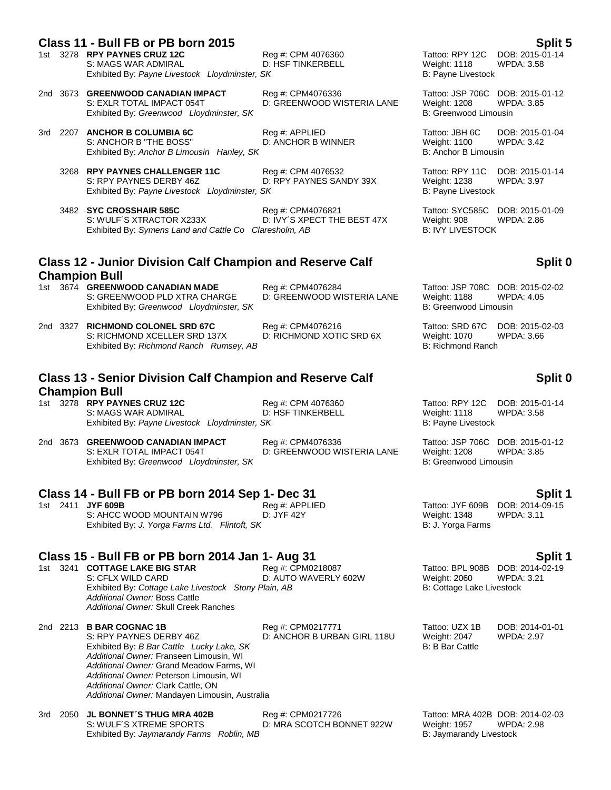### **Class 11 - Bull FB or PB born 2015 Split 5**

- S: MAGS WAR ADMIRAL **D: HSF TINKERBELL** Weight: 1118 WPDA: 3.58 Exhibited By: Payne Livestock Lloydminster, SK B: Payne Livestock B: Payne Livestock
- 2nd 3673 **GREENWOOD CANADIAN IMPACT** Reg #: CPM4076336 Tattoo: JSP 706C DOB: 2015-01-12 Exhibited By: Greenwood Lloydminster, SK B: Greenwood Limousin
- 3rd 2207 **ANCHOR B COLUMBIA 6C** Reg #: APPLIED Tattoo: JBH 6C DOB: 2015-01-04<br>S: ANCHOR B "THE BOSS" D: ANCHOR B WINNER Weight: 1100 WPDA: 3.42 S: ANCHOR B "THE BOSS" Exhibited By: *Anchor B Limousin Hanley, SK* B: Anchor B Limousin B: Anchor B Limousin
	- 3268 **RPY PAYNES CHALLENGER 11C** Reg #: CPM 4076532 Tattoo: RPY 11C DOB: 2015-01-14<br>S: RPY PAYNES DERBY 46Z D: RPY PAYNES SANDY 39X Weight: 1238 WPDA: 3.97 Exhibited By: Payne Livestock Lloydminster, SK
	- 3482 **SYC CROSSHAIR 585C** Reg #: CPM4076821 Tattoo: SYC585C DOB: 2015-01-09<br>S: WULF'S XTRACTOR X233X D: IVY'S XPECT THE BEST 47X Weight: 908 WPDA: 2.86 Exhibited By: Symens Land and Cattle Co Claresholm, AB

### **Class 12 - Junior Division Calf Champion and Reserve Calf Champion Bull**

- 1st 3674 **GREENWOOD CANADIAN MADE** Reg #: CPM4076284 Tattoo: JSP 708C DOB: 2015-02-02 S: GREENWOOD PLD XTRA CHARGE D: GREENWOOD WISTERIA LANE Weight: 1188 WPDA: 4.05<br>Exhibited By: Greenwood Llovdminster. SK B: Greenwood Limousin Exhibited By: Greenwood Lloydminster, SK
- 2nd 3327 **RICHMOND COLONEL SRD 67C** Reg #: CPM4076216 Tattoo: SRD 67C DOB: 2015-02-03 S: RICHMOND XCELLER SRD 137X D: RICHMOND XOTIC SRD 6X Weight: 1070 \<br>Exhibited By: *Richmond Ranch Rumsey. AB* B: Richmond Ranch Exhibited By: *Richmond Ranch Rumsey, AB*

### **Class 13 - Senior Division Calf Champion and Reserve Calf Champion Bull**

- 1st 3278 **RPY PAYNES CRUZ 12C** Reg #: CPM 4076360 Tattoo: RPY 12C DOB: 2015-01-14 S: MAGS WAR ADMIRAL **D: HSF TINKERBELL** S: MAGS WAR ADMIRAL D: HSF TINKERBELL Weight: 1118 WPDA: 3.58<br>Exhibited By: Payne Livestock Lloydminster, SK B: Payne Livestock Exhibited By: Payne Livestock Lloydminster, SK
- 2nd 3673 **GREENWOOD CANADIAN IMPACT** Reg #: CPM4076336 Tattoo: JSP 706C DOB: 2015-01-12 Exhibited By: Greenwood Lloydminster, SK

**Class 14 - Bull FB or PB born 2014 Sep 1- Dec 31**<br>1st 2411 JYF 609B **Split 1 Req #: APPLIED** Tattoo: JYF 609B DOB: 2014-09-15 1st 2411 **JYF 609B** Reg #: APPLIED Tattoo: JYF 609B DOB: 2014-0<br>S: AHCC WOOD MOUNTAIN W796 D: JYF 42Y D: The Meight: 1348 WPDA: 3.11 S: AHCC WOOD MOUNTAIN W796 Exhibited By: *J. Yorga Farms Ltd. Flintoft, SK* B: J. Yorga Farms **B: J. Yorga Farms** 

#### **Class 15 - Bull FB or PB born 2014 Jan 1- Aug 31 Split 1**

1st 3241 **COTTAGE LAKE BIG STAR** Reg #: CPM0218087 Tattoo: BPL 908B DOB: 2014-02-19<br>S: CFLX WILD CARD **D: AUTO WAVERLY 602W** Weight: 2060 WPDA: 3.21 S: CFLX WILD CARD D: AUTO WAVERLY 602W Weight: 2060 Exhibited By: Cottage Lake Livestock Stony Plain, AB B: Cottage Lake Livestock *Additional Owner:* Boss Cattle *Additional Owner:* Skull Creek Ranches

2nd 2213 **B BAR COGNAC 1B** Reg #: CPM0217771 Tattoo: UZX 1B DOB: 2014-01-01 S: RPY PAYNES DERBY 46Z **DERBY 46Z** D: ANCHOR B URBAN GIRL 118U Weight: 2047 WPDA: 2.97<br>Exhibited By: *B Bar Cattle Lucky Lake. SK* B: A B: B Bar Cattle B: B Bar Cattle Exhibited By: *B Bar Cattle Lucky Lake, SK Additional Owner:* Franseen Limousin, WI *Additional Owner:* Grand Meadow Farms, WI *Additional Owner:* Peterson Limousin, WI *Additional Owner:* Clark Cattle, ON *Additional Owner:* Mandayen Limousin, Australia

3rd 2050 **JL BONNET´S THUG MRA 402B** Reg #: CPM0217726<br>S: WULF´S XTREME SPORTS D: MRA SCOTCH BC Exhibited By: Jaymarandy Farms Roblin, MB

D: MRA SCOTCH BONNET 922W

D: GREENWOOD WISTERIA LANE

1st 3278 **RPY PAYNES CRUZ 12C** Reg #: CPM 4076360 Tattoo: RPY 12C DOB: 2015-01-14

D: RPY PAYNES SANDY 39X Weight: 1238 WPDA: 3.97<br>SK B: Payne Livestock

D: IVY´S XPECT THE BEST 47X Weight: 908 WPDA: 2.86<br>aresholm. AB B: IVY LIVESTOCK

### **Split 0**

# **Split 0**

D: GREENWOOD WISTERIA LANE Weight: 1208 WPD<br>B: Greenwood Limousin

| Tattoo: MRA 402B DOB: 2014-02-03 |            |
|----------------------------------|------------|
| Weight: 1957                     | WPDA: 2.98 |
| B: Javmarandy Livestock          |            |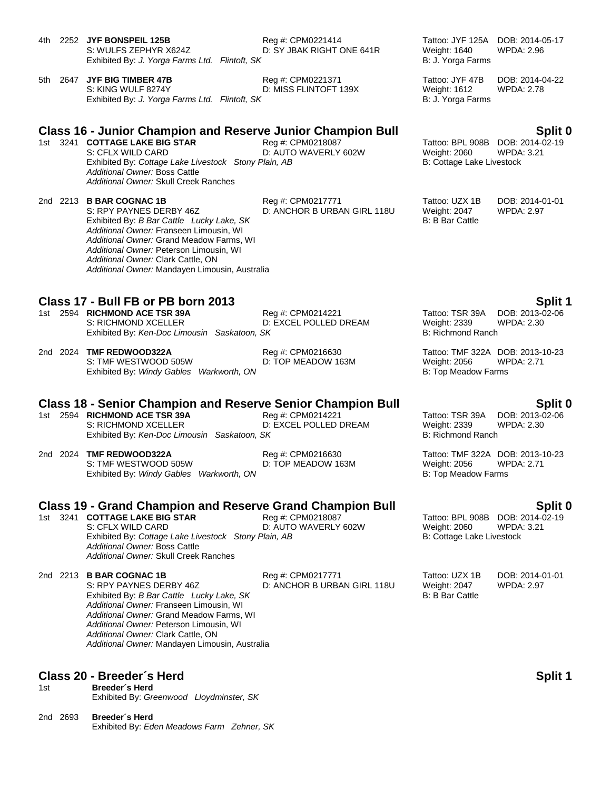4th 2252 **JYF BONSPEIL 125B** Reg #: CPM0221414 Tattoo: JYF 125A DOB: 2014-05-17<br>S: WULFS ZEPHYR X624Z D: SY JBAK RIGHT ONE 641R Weight: 1640 WPDA: 2.96 D: SY JBAK RIGHT ONE 641R Exhibited By: *J. Yorga Farms Ltd. Flintoft, SK* B: J. Yorga Farms **B: J. Yorga Farms** 5th 2647 JYF BIG TIMBER 47B Reg #: CPM0221371 Tattoo: JYF 47B DOB: 2014-04-22 S: KING WULF 8274Y D: MISS FLINTOFT 139X Weight: 1612 WPDA: 2.78 Exhibited By: *J. Yorga Farms Ltd. Flintoft, SK* B: And B: J. Yorga Farms **B: J. Yorga Farms Class 16 - Junior Champion and Reserve Junior Champion Bull Split 0** 1st 3241 **COTTAGE LAKE BIG STAR** Reg #: CPM0218087 Tattoo: BPL 908B DOB: 2014-02-19<br>S: CFLX WILD CARD D: AUTO WAVERLY 602W Weight: 2060 WPDA: 3.21 D: AUTO WAVERLY 602W Exhibited By: Cottage Lake Livestock Stony Plain, AB B: Cottage Lake Livestock Stone Dave Rivestock Stone Dave *Additional Owner:* Boss Cattle *Additional Owner:* Skull Creek Ranches 2nd 2213 **B BAR COGNAC 1B** Reg #: CPM0217771 Tattoo: UZX 1B DOB: 2014-01-01<br>S: RPY PAYNES DERBY 46Z D: ANCHOR B URBAN GIRL 118U Weight: 2047 WPDA: 2.97 D: ANCHOR B URBAN GIRL 118U Weight: 2047 WPDA: 2.97 Exhibited By: *B Bar Cattle Lucky Lake, SK* B: B Bar Cattle By: B: B Bar Cattle *Additional Owner:* Franseen Limousin, WI *Additional Owner:* Grand Meadow Farms, WI *Additional Owner:* Peterson Limousin, WI *Additional Owner:* Clark Cattle, ON *Additional Owner:* Mandayen Limousin, Australia **Class 17 - Bull FB or PB born 2013 Split 1** 1st 2594 **RICHMOND ACE TSR 39A** Reg #: CPM0214221 Tattoo: TSR 39A DOB: 2013-02-06 S: RICHMOND XCELLER **DIGELAL COLLED DE DIGELED DREAM** Weight: 2339 WPDA: 2.30 Exhibited By: *Ken-Doc Limousin Saskatoon, SK* B: Richmond Ranch 2nd 2024 **TMF REDWOOD322A** Reg #: CPM0216630 Tattoo: TMF 322A DOB: 2013-10-23 S: TMF WESTWOOD 505W D: TOP MEADOW 163M Weight: 2056 WPDA: 2.71 Exhibited By: *Windy Gables Warkworth, ON* B: Top Meadow Farms **Class 18 - Senior Champion and Reserve Senior Champion Bull <b>Split 0**<br>1st 2594 RICHMOND ACE TSR 39A **Beg #: CPM0214221** Tattoo: TSR 39A DOB: 2013-02-06 1st 2594 **RICHMOND ACE TSR 39A** Reg #: CPM0214221 Tattoo: TSR 39A DOB: 2013-02-06<br>S: RICHMOND XCELLER D: EXCEL POLLED DREAM Weight: 2339 WPDA: 2.30 D: EXCEL POLLED DREAM Weight: 2339 \<br>SK B: Richmond Ranch Exhibited By: Ken-Doc Limousin Saskatoon, SK 2nd 2024 **TMF REDWOOD322A** Reg #: CPM0216630 Tattoo: TMF 322A DOB: 2013-10-23<br>S: TMF WESTWOOD 505W D: TOP MEADOW 163M Weight: 2056 WPDA: 2.71 S: TMF WESTWOOD 505W D: TOP MEADOW 163M Weight: 2056 WPDA: 2.71 Exhibited By: *Windy Gables Warkworth, ON* B: Top Meadow Farms **Class 19 - Grand Champion and Reserve Grand Champion Bull Split 0** 1st 3241 **COTTAGE LAKE BIG STAR** Reg #: CPM0218087 Tattoo: BPL 908B DOB: 2014-02-19<br>S: CFLX WILD CARD D: AUTO WAVERLY 602W Weight: 2060 WPDA: 3.21 D: AUTO WAVERLY 602W Weight: 2060 WPDA: 3.21 Exhibited By: *Cottage Lake Livestock Stony Plain, AB* B: Cottage Lake Livestock Stone Plain, AB *Additional Owner:* Boss Cattle *Additional Owner:* Skull Creek Ranches 2nd 2213 **B BAR COGNAC 1B** Reg #: CPM0217771 Tattoo: UZX 1B DOB: 2014-01-01<br>S: RPY PAYNES DERBY 46Z D: ANCHOR B URBAN GIRL 118U Weight: 2047 WPDA: 2.97 S: RPY PAYNES DERBY 46Z D: ANCHOR B URBAN GIRL 118U Weight: 2047 WPDA: 2.97 Exhibited By: *B Bar Cattle Lucky Lake, SK* B: B: B Bar Cattle B: B: B Bar Cattle *Additional Owner:* Franseen Limousin, WI *Additional Owner:* Grand Meadow Farms, WI *Additional Owner:* Peterson Limousin, WI *Additional Owner:* Clark Cattle, ON *Additional Owner:* Mandayen Limousin, Australia

### **Class 20 - Breeder´s Herd Split 1**

1st **Breeder´s Herd** Exhibited By: *Greenwood Lloydminster, SK*

2nd 2693 **Breeder´s Herd** Exhibited By: *Eden Meadows Farm Zehner, SK*